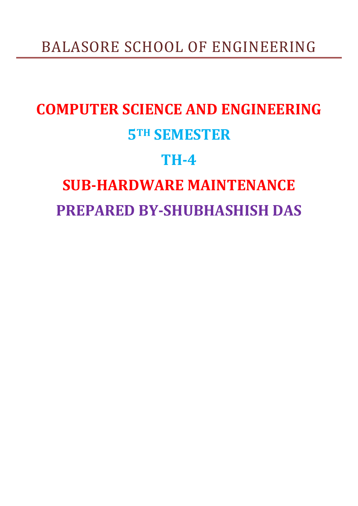# **COMPUTER SCIENCE AND ENGINEERING 5TH SEMESTER TH-4 SUB-HARDWARE MAINTENANCE PREPARED BY-SHUBHASHISH DAS**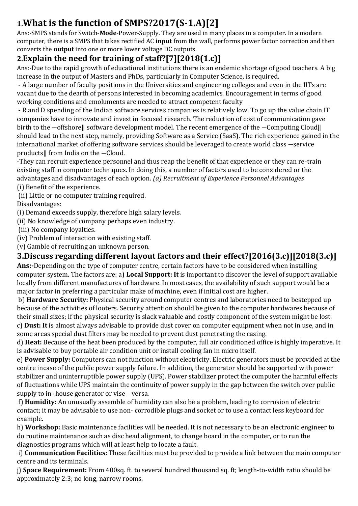# **1.What is the function of SMPS?2017(S-1.A)[2]**

Ans:-SMPS stands for Switch-**Mode**-Power-Supply. They are used in many places in a computer. In a modern computer, there is a SMPS that takes rectified AC **input** from the wall, performs power factor correction and then converts the **output** into one or more lower voltage DC outputs.

# **2.Explain the need for training of staff?[7][2018(1.c)]**

Ans:-Due to the rapid growth of educational institutions there is an endemic shortage of good teachers. A big increase in the output of Masters and PhDs, particularly in Computer Science, is required.

- A large number of faculty positions in the Universities and engineering colleges and even in the IITs are vacant due to the dearth of persons interested in becoming academics. Encouragement in terms of good working conditions and emoluments are needed to attract competent faculty

- R and D spending of the Indian software services companies is relatively low. To go up the value chain IT companies have to innovate and invest in focused research. The reduction of cost of communication gave birth to the —offshore|| software development model. The recent emergence of the —Computing Cloud|| should lead to the next step, namely, providing Software as a Service (SaaS). The rich experience gained in the international market of offering software services should be leveraged to create world class ―service products‖ from India on the ―Cloud.

-They can recruit experience personnel and thus reap the benefit of that experience or they can re-train existing staff in computer techniques. In doing this, a number of factors used to be considered or the advantages and disadvantages of each option. *(a) Recruitment of Experience Personnel Advantages*  (i) Benefit of the experience.

(ii) Little or no computer training required.

Disadvantages:

(i) Demand exceeds supply, therefore high salary levels.

(ii) No knowledge of company perhaps even industry.

(iii) No company loyalties.

(iv) Problem of interaction with existing staff.

(v) Gamble of recruiting an unknown person.

# **3.Discuss regarding different layout factors and their effect?[2016(3.c)][2018(3.c)]**

**Ans:-**Depending on the type of computer centre, certain factors have to be considered when installing computer system. The factors are: a) **Local Support: It** is important to discover the level of support available locally from different manufactures of hardware. In most cases, the availability of such support would be a major factor in preferring a particular make of machine, even if initial cost are higher.

b) **Hardware Security:** Physical security around computer centres and laboratories need to bestepped up because of the activities of looters. Security attention should be given to the computer hardwares because of their small sizes; if the physical security is slack valuable and costly component of the system might be lost. c) **Dust: It** is almost always advisable to provide dust cover on computer equipment when not in use, and in some areas special dust filters may be needed to prevent dust penetrating the casing.

d) **Heat:** Because of the heat been produced by the computer, full air conditioned office is highly imperative. It is advisable to buy portable air condition unit or install cooling fan in micro itself.

e) **Power Supply:** Computers can not function without electricity. Electric generators must be provided at the centre incase of the public power supply failure. In addition, the generator should be supported with power stabilizer and uninterruptible power supply (UPS). Power stabilizer protect the computer the harmful effects of fluctuations while UPS maintain the continuity of power supply in the gap between the switch over public supply to in- house generator or vise – versa.

f) **Humidity:** An unusually assemble of humidity can also be a problem, leading to corrosion of electric contact; it may be advisable to use non- corrodible plugs and socket or to use a contact less keyboard for example.

h) **Workshop:** Basic maintenance facilities will be needed. It is not necessary to be an electronic engineer to do routine maintenance such as disc head alignment, to change board in the computer, or to run the diagnostics programs which will at least help to locate a fault.

i) **Communication Facilities:** These facilities must be provided to provide a link between the main computer centre and its terminals.

j) **Space Requirement:** From 400sq. ft. to several hundred thousand sq. ft; length-to-width ratio should be approximately 2:3; no long, narrow rooms.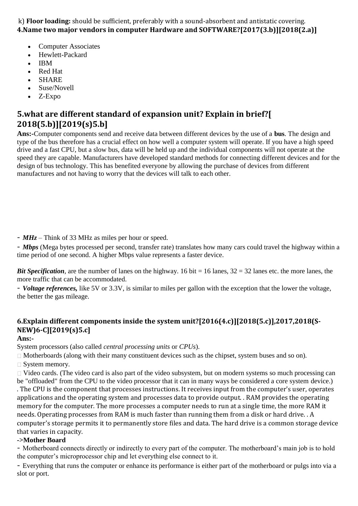k) **Floor loading:** should be sufficient, preferably with a sound-absorbent and antistatic covering. **4.Name two major vendors in computer Hardware and SOFTWARE?[2017(3.b)][2018(2.a)]**

- Computer Associates
- Hewlett-Packard
- $\bullet$  IBM
- Red Hat
- SHARE
- Suse/Novell
- Z-Expo

# **5.what are different standard of expansion unit? Explain in brief?[ 2018(5.b)][2019(s)5.b]**

**Ans:-**Computer components send and receive data between different devices by the use of a **bus**. The design and type of the bus therefore has a crucial effect on how well a computer system will operate. If you have a high speed drive and a fast CPU, but a slow bus, data will be held up and the individual components will not operate at the speed they are capable. Manufacturers have developed standard methods for connecting different devices and for the design of bus technology. This has benefited everyone by allowing the purchase of devices from different manufactures and not having to worry that the devices will talk to each other.

- *MHz* – Think of 33 MHz as miles per hour or speed.

- *Mbps* (Mega bytes processed per second, transfer rate) translates how many cars could travel the highway within a time period of one second. A higher Mbps value represents a faster device.

*Bit Specification*, are the number of lanes on the highway. 16 bit = 16 lanes,  $32 = 32$  lanes etc. the more lanes, the more traffic that can be accommodated.

- *Voltage references,* like 5V or 3.3V, is similar to miles per gallon with the exception that the lower the voltage, the better the gas mileage.

# **6.Explain different components inside the system unit?[2016(4.c)][2018(5.c)],2017,2018(S-NEW)6-C][2019(s)5.c]**

# **Ans:-**

System processors (also called *central processing units* or *CPUs*).

 $\Box$  Motherboards (along with their many constituent devices such as the chipset, system buses and so on).

□ System memory.

 $\Box$  Video cards. (The video card is also part of the video subsystem, but on modern systems so much processing can be "offloaded" from the CPU to the video processor that it can in many ways be considered a core system device.) . The CPU is the component that processes instructions. It receives input from the computer's user, operates applications and the operating system and processes data to provide output. . RAM provides the operating memory for the computer. The more processes a computer needs to run at a single time, the more RAM it needs. Operating processes from RAM is much faster than running them from a disk or hard drive. . A computer's storage permits it to permanently store files and data. The hard drive is a common storage device that varies in capacity.

#### **->Mother Board**

- Motherboard connects directly or indirectly to every part of the computer. The motherboard's main job is to hold the computer's microprocessor chip and let everything else connect to it.

- Everything that runs the computer or enhance its performance is either part of the motherboard or pulgs into via a slot or port.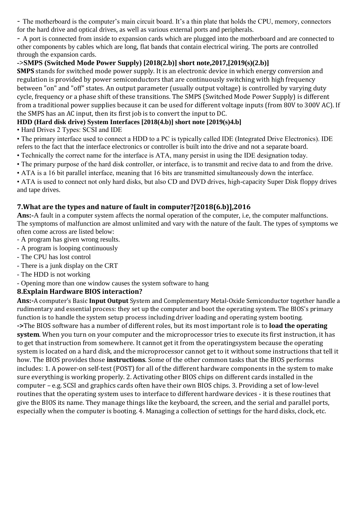- The motherboard is the computer's main circuit board. It's a thin plate that holds the CPU, memory, connectors for the hard drive and optical drives, as well as various external ports and peripherals.

- A port is connected from inside to expansion cards which are plugged into the motherboard and are connected to other components by cables which are long, flat bands that contain electrical wiring. The ports are controlled through the expansion cards.

## **->SMPS (Switched Mode Power Supply) [2018(2.b)] short note,2017,[2019(s)(2.b)]**

**SMPS** stands for switched mode power supply. It is an electronic device in which energy conversion and regulation is provided by power semiconductors that are continuously switching with high frequency between "on" and "off" states. An output parameter (usually output voltage) is controlled by varying duty cycle, frequency or a phase shift of these transitions. The SMPS (Switched Mode Power Supply) is different from a traditional power supplies because it can be used for different voltage inputs (from 80V to 300V AC). If the SMPS has an AC input, then its first job is to convert the input to DC.

## **HDD (Hard disk drive) System Interfaces [2018(4.b)] short note [2019(s)4.b]**

• Hard Drives 2 Types: SCSI and IDE

• The primary interface used to connect a HDD to a PC is typically called IDE (Integrated Drive Electronics). IDE refers to the fact that the interface electronics or controller is built into the drive and not a separate board.

- Technically the correct name for the interface is ATA, many persist in using the IDE designation today.
- The primary purpose of the hard disk controller, or interface, is to transmit and recive data to and from the drive.
- ATA is a 16 bit parallel interface, meaning that 16 bits are transmitted simultaneously down the interface.

• ATA is used to connect not only hard disks, but also CD and DVD drives, high-capacity Super Disk floppy drives and tape drives.

#### **7.What are the types and nature of fault in computer?[2018(6.b)],2016**

**Ans:-**A fault in a computer system affects the normal operation of the computer, i.e, the computer malfunctions. The symptoms of malfunction are almost unlimited and vary with the nature of the fault. The types of symptoms we often come across are listed below:

- A program has given wrong results.
- A program is looping continuously
- The CPU has lost control
- There is a junk display on the CRT
- The HDD is not working
- Opening more than one window causes the system software to hang

#### **8.Explain Hardware BIOS interaction?**

**Ans:-**A computer's Basic **Input Output** System and Complementary Metal-Oxide Semiconductor together handle a rudimentary and essential process: they set up the computer and boot the operating system. The BIOS's primary function is to handle the system setup process including driver loading and operating system booting. **->**The BIOS software has a number of different roles, but its most important role is to **load the operating system**. When you turn on your computer and the microprocessor tries to execute its first instruction, it has to get that instruction from somewhere. It cannot get it from the operatingsystem because the operating system is located on a hard disk, and the microprocessor cannot get to it without some instructions that tell it how. The BIOS provides those **instructions**. Some of the other common tasks that the BIOS performs includes: 1. A power-on self-test (POST) for all of the different hardware components in the system to make sure everything is working properly. 2. Activating other BIOS chips on different cards installed in the computer – e.g. SCSI and graphics cards often have their own BIOS chips. 3. Providing a set of low-level routines that the operating system uses to interface to different hardware devices - it is these routines that give the BIOS its name. They manage things like the keyboard, the screen, and the serial and parallel ports, especially when the computer is booting. 4. Managing a collection of settings for the hard disks, clock, etc.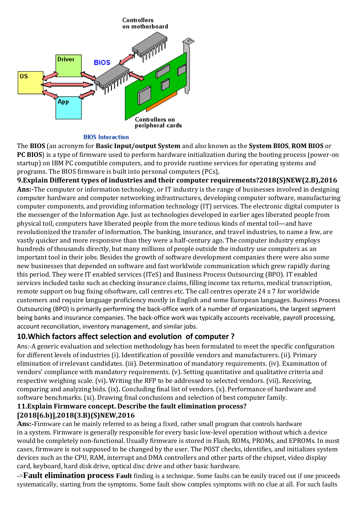

#### **BIOS** Interaction

The **BIOS** (an acronym for **Basic Input/output System** and also known as the **System BIOS**, **ROM BIOS** or **PC BIOS**) is a type of firmware used to perform hardware initialization during the booting process (power-on startup) on IBM PC compatible computers, and to provide runtime services for operating systems and programs. The BIOS firmware is built into personal computers (PCs),

**9.Explain Different types of industries and their computer requirements?2018(S)NEW(2.B),2016 Ans:-**The computer or information technology, or IT industry is the range of businesses involved in designing computer hardware and computer networking infrastructures, developing computer software, manufacturing computer components, and providing information technology (IT) services. The electronic digital computer is the messenger of the Information Age. Just as technologies developed in earlier ages liberated people from physical toil, computers have liberated people from the more tedious kinds of mental toil—and have revolutionized the transfer of information. The banking, insurance, and travel industries, to name a few, are vastly quicker and more responsive than they were a half-century ago. The computer industry employs hundreds of thousands directly, but many millions of people outside the industry use computers as an important tool in their jobs. Besides the growth of software development companies there were also some new businesses that depended on software and fast worldwide communication which grew rapidly during this period. They were IT enabled services (ITeS) and Business Process Outsourcing (BPO). IT enabled services included tasks such as checking insurance claims, filling income tax returns, medical transcription, remote support on bug fixing ofsoftware, call centres etc. The call centres operate 24 x 7 for worldwide customers and require language proficiency mostly in English and some European languages. Business Process Outsourcing (BPO) is primarily performing the back‐office work of a number of organizations, the largest segment being banks and insurance companies. The back-office work was typically accounts receivable, payroll processing, account reconciliation, inventory management, and similar jobs.

# **10.Which factors affect selection and evolution of computer ?**

Ans:-A generic evaluation and selection methodology has been formulated to meet the specific configuration for different levels of industries (i). Identification of possible vendors and manufacturers. (ii). Primary elimination of irrelevant candidates. (iii). Determination of mandatory requirements. (iv). Examination of vendors' compliance with mandatory requirements. (v). Setting quantitative and qualitative criteria and respective weighing scale. (vi)**.** Writing the RFP to be addressed to selected vendors. (vii)**.** Receiving, comparing and analyzing bids. (ix)**.** Concluding final list of vendors. (x). Performance of hardware and software benchmarks. (xi). Drawing final conclusions and selection of best computer family.

#### **11.Explain Firmware concept. Describe the fault elimination process? [2018[6.b)],2018(3.B)(S)NEW,2016**

**Ans:-**Firmware can be mainly referred to as being a fixed, rather small program that controls hardware in a system. Firmware is generally responsible for every basic low-level operation without which a device would be completely non-functional. Usually firmware is stored in Flash, ROMs, PROMs, and EPROMs. In most cases, firmware is not supposed to be changed by the user. The POST checks, identifies, and initializes system devices such as the CPU, RAM, interrupt and DMA controllers and other parts of the chipset, video display card, keyboard, hard disk drive, optical disc drive and other basic hardware.

->**Fault elimination process Fault** finding is a technique. Some faults can be easily traced out if one proceeds systematically, starting from the symptoms. Some fault show complex symptoms with no clue at all. For such faults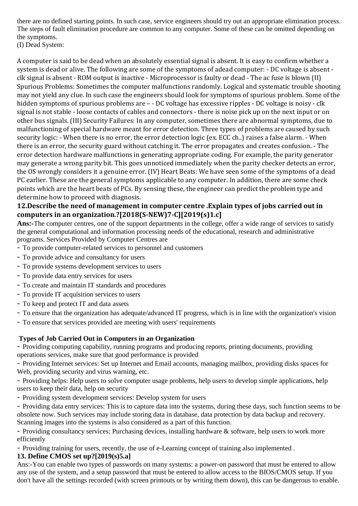there are no defined starting points. In such case, service engineers should try out an appropriate elimination process. The steps of fault elimination procedure are common to any computer. Some of these can be omitted depending on the symptoms.

(I) Dead System:

A computer is said to be dead when an absolutely essential signal is absent. It is easy to confirm whether a system is dead or alive. The following are some of the symptoms of adead computer: - DC voltage is absent clk signal is absent - ROM output is inactive - Microprocessor is faulty or dead - The ac fuse is blown (II) Spurious Problems: Sometimes the computer malfunctions randomly. Logical and systematic trouble shooting may not yield any clue. In such case the engineers should look for symptoms of spurious problem. Some of the hidden symptoms of spurious problems are  $-$  - DC voltage has excessive ripples - DC voltage is noisy - clk signal is not stable - loose contacts of cables and connectors - there is noise pick up on the next input or on other bus signals. (III) Security Failures: In any computer, sometimes there are abnormal symptoms, due to malfunctioning of special hardware meant for error detection. Three types of problems are caused by such security logic: - When there is no error, the error detection logic (ex. ECC ch..) raises a false alarm. - When there is an error, the security guard without catching it. The error propagates and creates confusion. - The error detection hardware malfunctions in generating appropriate coding. For example, the parity generator may generate a wrong parity bit. This goes unnoticed immediately when the parity checker detects an error, the OS wrongly considers it a genuine error. (IV) Heart Beats: We have seen some of the symptoms of a dead PC earlier. These are the general symptoms applicable to any computer. In addition, there are some check points which are the heart beats of PCs. By sensing these, the engineer can predict the problem type and determine how to proceed with diagnosis.

## **12.Describe the need of management in computer centre .Explain types of jobs carried out in computers in an organization.?[2018(S-NEW)7-C][2019(s)1.c]**

**Ans:-**The computer centres, one of the support departments in the college, offer a wide range of services to satisfy the general computational and information processing needs of the educational, research and administrative programs. Services Provided by Computer Centres are

- To provide computer-related services to personnel and customers
- To provide advice and consultancy for users
- To provide systems development services to users
- To provide data entry services for users
- To create and maintain IT standards and procedures
- To provide IT acquisition services to users
- To keep and protect IT and data assets
- To ensure that the organization has adequate/advanced IT progress, which is in line with the organization's vision
- To ensure that services provided are meeting with users' requirements

#### **Types of Job Carried Out in Computers in an Organization**

- Providing computing capability, running programs and producing reports, printing documents, providing operations services, make sure that good performance is provided

- Providing Internet services: Set up Internet and Email accounts, managing mailbox, providing disks spaces for Web, providing security and virus warning, etc.

- Providing helps: Help users to solve computer usage problems, help users to develop simple applications, help users to keep their data, help on security

- Providing system development services: Develop system for users

- Providing data entry services: This is to capture data into the systems, during these days, such function seems to be obsolete now. Such services may include storing data in database, data protection by data backup and recovery. Scanning images into the systems is also considered as a part of this function.

- Providing consultancy services: Purchasing devices, installing hardware & software, help users to work more efficiently

- Providing training for users, recently, the use of e-Learning concept of training also implemented .

#### **13. Define CMOS set up?[2019(s)5.a]**

Ans:-You can enable two types of passwords on many systems: a power-on password that must be entered to allow any use of the system, and a setup password that must be entered to allow access to the BIOS/CMOS setup. If you don't have all the settings recorded (with screen printouts or by writing them down), this can be dangerous to enable.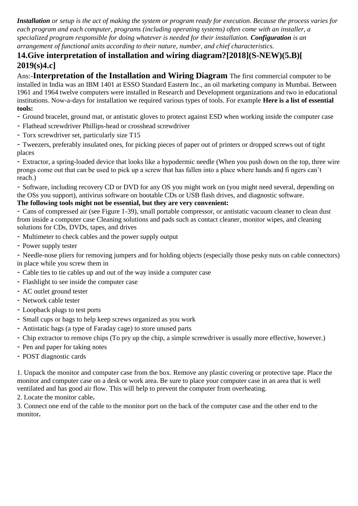*Installation or setup is the act of making the system or program ready for execution. Because the process varies for each program and each computer, programs (including operating systems) often come with an installer, a specialized program responsible for doing whatever is needed for their installation. Configuration is an arrangement of functional units according to their nature, number, and chief characteristics.*

# **14.Give interpretation of installation and wiring diagram?[2018](S-NEW)(5.B)[ 2019(s)4.c]**

Ans:-**Interpretation of the Installation and Wiring Diagram** The first commercial computer to be installed in India was an IBM 1401 at ESSO Standard Eastern Inc., an oil marketing company in Mumbai. Between 1961 and 1964 twelve computers were installed in Research and Development organizations and two in educational institutions. Now-a-days for installation we required various types of tools. For example **Here is a list of essential tools:** 

- Ground bracelet, ground mat, or antistatic gloves to protect against ESD when working inside the computer case
- Flathead screwdriver Phillips-head or crosshead screwdriver
- Torx screwdriver set, particularly size T15

- Tweezers, preferably insulated ones, for picking pieces of paper out of printers or dropped screws out of tight places

- Extractor, a spring-loaded device that looks like a hypodermic needle (When you push down on the top, three wire prongs come out that can be used to pick up a screw that has fallen into a place where hands and fi ngers can't reach.)

- Software, including recovery CD or DVD for any OS you might work on (you might need several, depending on the OSs you support), antivirus software on bootable CDs or USB flash drives, and diagnostic software.

# **The following tools might not be essential, but they are very convenient:**

- Cans of compressed air (see Figure 1-39), small portable compressor, or antistatic vacuum cleaner to clean dust from inside a computer case Cleaning solutions and pads such as contact cleaner, monitor wipes, and cleaning solutions for CDs, DVDs, tapes, and drives

- Multimeter to check cables and the power supply output
- Power supply tester

- Needle-nose pliers for removing jumpers and for holding objects (especially those pesky nuts on cable connectors) in place while you screw them in

- Cable ties to tie cables up and out of the way inside a computer case
- Flashlight to see inside the computer case
- AC outlet ground tester
- Network cable tester
- Loopback plugs to test ports
- Small cups or bags to help keep screws organized as you work
- Antistatic bags (a type of Faraday cage) to store unused parts
- Chip extractor to remove chips (To pry up the chip, a simple screwdriver is usually more effective, however.)
- Pen and paper for taking notes
- POST diagnostic cards

1. Unpack the monitor and computer case from the box. Remove any plastic covering or protective tape. Place the monitor and computer case on a desk or work area. Be sure to place your computer case in an area that is well ventilated and has good air flow. This will help to prevent the computer from overheating.

2. Locate the monitor cable**.** 

3. Connect one end of the cable to the monitor port on the back of the computer case and the other end to the monitor**.**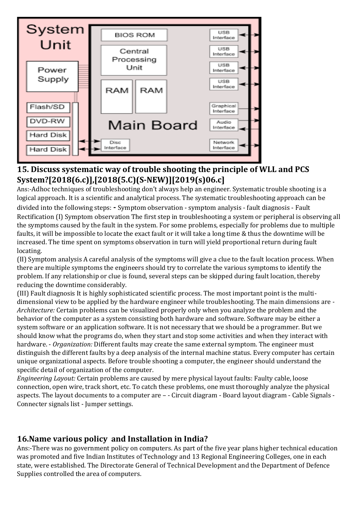

# **15. Discuss systematic way of trouble shooting the principle of WLL and PCS System?[2018(6.c)],[2018(5.C)(S-NEW)][2019(s)06.c]**

Ans:-Adhoc techniques of troubleshooting don't always help an engineer. Systematic trouble shooting is a logical approach. It is a scientific and analytical process. The systematic troubleshooting approach can be divided into the following steps: **-** Symptom observation - symptom analysis - fault diagnosis - Fault Rectification (I) Symptom observation The first step in troubleshooting a system or peripheral is observing all the symptoms caused by the fault in the system. For some problems, especially for problems due to multiple faults, it will be impossible to locate the exact fault or it will take a long time & thus the downtime will be increased. The time spent on symptoms observation in turn will yield proportional return during fault locating.

(II) Symptom analysis A careful analysis of the symptoms will give a clue to the fault location process. When there are multiple symptoms the engineers should try to correlate the various symptoms to identify the problem. If any relationship or clue is found, several steps can be skipped during fault location, thereby reducing the downtime considerably.

(III) Fault diagnosis It is highly sophisticated scientific process. The most important point is the multidimensional view to be applied by the hardware engineer while troubleshooting. The main dimensions are *- Architecture:* Certain problems can be visualized properly only when you analyze the problem and the behavior of the computer as a system consisting both hardware and software. Software may be either a system software or an application software. It is not necessary that we should be a programmer. But we should know what the programs do, when they start and stop some activities and when they interact with hardware. - *Organization:* Different faults may create the same external symptom. The engineer must distinguish the different faults by a deep analysis of the internal machine status. Every computer has certain unique organizational aspects. Before trouble shooting a computer, the engineer should understand the specific detail of organization of the computer.

*Engineering Layout:* Certain problems are caused by mere physical layout faults: Faulty cable, loose connection, open wire, track short, etc. To catch these problems, one must thoroughly analyze the physical aspects. The layout documents to a computer are – - Circuit diagram - Board layout diagram - Cable Signals - Connecter signals list - Jumper settings.

# **16.Name various policy and Installation in India?**

Ans:-There was no government policy on computers. As part of the five year plans higher technical education was promoted and five Indian Institutes of Technology and 13 Regional Engineering Colleges, one in each state, were established. The Directorate General of Technical Development and the Department of Defence Supplies controlled the area of computers.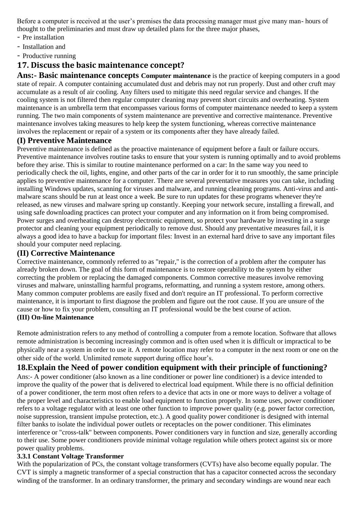Before a computer is received at the user's premises the data processing manager must give many man- hours of thought to the preliminaries and must draw up detailed plans for the three major phases,

- Pre installation
- Installation and
- Productive running

# **17. Discuss the basic maintenance concept?**

**Ans:- Basic maintenance concepts Computer maintenance** is the practice of keeping computers in a good state of repair. A computer containing accumulated dust and debris may not run properly. Dust and other cruft may accumulate as a result of air cooling. Any filters used to mitigate this need regular service and changes. If the cooling system is not filtered then regular computer cleaning may prevent short circuits and overheating. System maintenance is an umbrella term that encompasses various forms of computer maintenance needed to keep a system running. The two main components of system maintenance are preventive and corrective maintenance. Preventive maintenance involves taking measures to help keep the system functioning, whereas corrective maintenance involves the replacement or repair of a system or its components after they have already failed.

#### **(I) Preventive Maintenance**

Preventive maintenance is defined as the proactive maintenance of equipment before a fault or failure occurs. Preventive maintenance involves routine tasks to ensure that your system is running optimally and to avoid problems before they arise. This is similar to routine maintenance performed on a car: In the same way you need to periodically check the oil, lights, engine, and other parts of the car in order for it to run smoothly, the same principle applies to preventive maintenance for a computer. There are several preventative measures you can take, including installing Windows updates, scanning for viruses and malware, and running cleaning programs. Anti-virus and antimalware scans should be run at least once a week. Be sure to run updates for these programs whenever they're released, as new viruses and malware spring up constantly. Keeping your network secure, installing a firewall, and using safe downloading practices can protect your computer and any information on it from being compromised. Power surges and overheating can destroy electronic equipment, so protect your hardware by investing in a surge protector and cleaning your equipment periodically to remove dust. Should any preventative measures fail, it is always a good idea to have a backup for important files: Invest in an external hard drive to save any important files should your computer need replacing.

#### **(II) Corrective Maintenance**

Corrective maintenance, commonly referred to as "repair," is the correction of a problem after the computer has already broken down. The goal of this form of maintenance is to restore operability to the system by either correcting the problem or replacing the damaged components. Common corrective measures involve removing viruses and malware, uninstalling harmful programs, reformatting, and running a system restore, among others. Many common computer problems are easily fixed and don't require an IT professional. To perform corrective maintenance, it is important to first diagnose the problem and figure out the root cause. If you are unsure of the cause or how to fix your problem, consulting an IT professional would be the best course of action. **(III) On-line Maintenance** 

#### Remote administration refers to any method of controlling a computer from a remote location. Software that allows remote administration is becoming increasingly common and is often used when it is difficult or impractical to be physically near a system in order to use it. A remote location may refer to a computer in the next room or one on the other side of the world. Unlimited remote support during office hour's.

#### **18.Explain the Need of power condition equipment with their principle of functioning?**

Ans:- A power conditioner (also known as a line conditioner or power line conditioner) is a device intended to improve the quality of the power that is delivered to electrical load equipment. While there is no official definition of a power conditioner, the term most often refers to a device that acts in one or more ways to deliver a voltage of the proper level and characteristics to enable load equipment to function properly. In some uses, power conditioner refers to a voltage regulator with at least one other function to improve power quality (e.g. power factor correction, noise suppression, transient impulse protection, etc.). A good quality power conditioner is designed with internal filter banks to isolate the individual power outlets or receptacles on the power conditioner. This eliminates interference or "cross-talk" between components. Power conditioners vary in function and size, generally according to their use. Some power conditioners provide minimal voltage regulation while others protect against six or more power quality problems.

#### **3.3.1 Constant Voltage Transformer**

With the popularization of PCs, the constant voltage transformers (CVTs) have also become equally popular. The CVT is simply a magnetic transformer of a special construction that has a capacitor connected across the secondary winding of the transformer. In an ordinary transformer, the primary and secondary windings are wound near each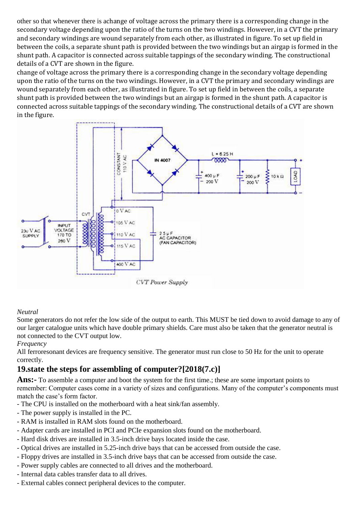other so that whenever there is achange of voltage across the primary there is a corresponding change in the secondary voltage depending upon the ratio of the turns on the two windings. However, in a CVT the primary and secondary windings are wound separately from each other, as illustrated in figure. To set up field in between the coils, a separate shunt path is provided between the two windings but an airgap is formed in the shunt path. A capacitor is connected across suitable tappings of the secondary winding. The constructional details of a CVT are shown in the figure.

change of voltage across the primary there is a corresponding change in the secondary voltage depending upon the ratio of the turns on the two windings. However, in a CVT the primary and secondary windings are wound separately from each other, as illustrated in figure. To set up field in between the coils, a separate shunt path is provided between the two windings but an airgap is formed in the shunt path. A capacitor is connected across suitable tappings of the secondary winding. The constructional details of a CVT are shown in the figure.



#### *Neutral*

Some generators do not refer the low side of the output to earth. This MUST be tied down to avoid damage to any of our larger catalogue units which have double primary shields. Care must also be taken that the generator neutral is not connected to the CVT output low.

#### *Frequency*

All ferroresonant devices are frequency sensitive. The generator must run close to 50 Hz for the unit to operate correctly.

# **19.state the steps for assembling of computer?[2018(7.c)]**

**Ans:**- To assemble a computer and boot the system for the first time.; these are some important points to remember: Computer cases come in a variety of sizes and configurations. Many of the computer's components must match the case's form factor.

- The CPU is installed on the motherboard with a heat sink/fan assembly.
- The power supply is installed in the PC.
- RAM is installed in RAM slots found on the motherboard.
- Adapter cards are installed in PCI and PCIe expansion slots found on the motherboard.
- Hard disk drives are installed in 3.5-inch drive bays located inside the case.
- Optical drives are installed in 5.25-inch drive bays that can be accessed from outside the case.
- Floppy drives are installed in 3.5-inch drive bays that can be accessed from outside the case.
- Power supply cables are connected to all drives and the motherboard.
- Internal data cables transfer data to all drives.
- External cables connect peripheral devices to the computer.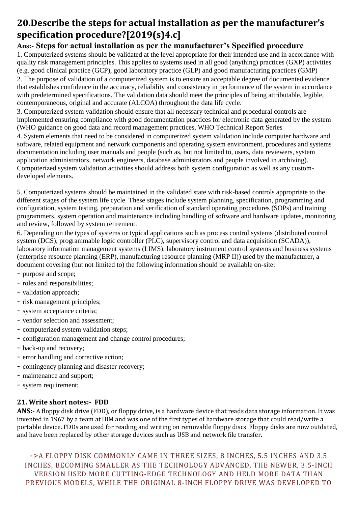# **20.Describe the steps for actual installation as per the manufacturer's specification procedure?[2019(s)4.c]**

# **Ans:- Steps for actual installation as per the manufacturer's Specified procedure**

1. Computerized systems should be validated at the level appropriate for their intended use and in accordance with quality risk management principles. This applies to systems used in all good (anything) practices (GXP) activities (e.g. good clinical practice (GCP), good laboratory practice (GLP) and good manufacturing practices (GMP)

2. The purpose of validation of a computerized system is to ensure an acceptable degree of documented evidence that establishes confidence in the accuracy, reliability and consistency in performance of the system in accordance with predetermined specifications. The validation data should meet the principles of being attributable, legible, contemporaneous, original and accurate (ALCOA) throughout the data life cycle.

3. Computerized system validation should ensure that all necessary technical and procedural controls are implemented ensuring compliance with good documentation practices for electronic data generated by the system (WHO guidance on good data and record management practices, WHO Technical Report Series

4. System elements that need to be considered in computerized system validation include computer hardware and software, related equipment and network components and operating system environment, procedures and systems documentation including user manuals and people (such as, but not limited to, users, data reviewers, system application administrators, network engineers, database administrators and people involved in archiving). Computerized system validation activities should address both system configuration as well as any customdeveloped elements.

5. Computerized systems should be maintained in the validated state with risk-based controls appropriate to the different stages of the system life cycle. These stages include system planning, specification, programming and configuration, system testing, preparation and verification of standard operating procedures (SOPs) and training programmers, system operation and maintenance including handling of software and hardware updates, monitoring and review, followed by system retirement.

6. Depending on the types of systems or typical applications such as process control systems (distributed control system (DCS), programmable logic controller (PLC), supervisory control and data acquisition (SCADA)), laboratory information management systems (LIMS), laboratory instrument control systems and business systems (enterprise resource planning (ERP), manufacturing resource planning (MRP II)) used by the manufacturer, a document covering (but not limited to) the following information should be available on-site:

- purpose and scope;
- roles and responsibilities;
- validation approach;
- risk management principles;
- system acceptance criteria;
- vendor selection and assessment;
- computerized system validation steps;
- configuration management and change control procedures;
- back-up and recovery;
- error handling and corrective action;
- contingency planning and disaster recovery;
- maintenance and support;
- system requirement;

#### **21. Write short notes:- FDD**

**ANS:-** A floppy disk drive (FDD), or floppy drive, is a hardware device that reads data storage information. It was invented in 1967 by a team at IBM and was one of the first types of hardware storage that could read/write a portable device. FDDs are used for reading and writing on removable floppy discs. Floppy disks are now outdated, and have been replaced by other storage devices such as USB and network file transfer.

->A FLOPPY DISK COMMONLY CAME IN THREE SIZES, 8 INCHES, 5.5 INCHES AND 3.5 INCHES, BECOMING SMALLER AS THE TECHNOLOGY ADVANCED. THE NEWER, 3.5-INCH VERSION USED MORE CUTTING-EDGE TECHNOLOGY AND HELD MORE DATA THAN PREVIOUS MODELS, WHILE THE ORIGINAL 8-INCH FLOPPY DRIVE WAS DEVELOPED TO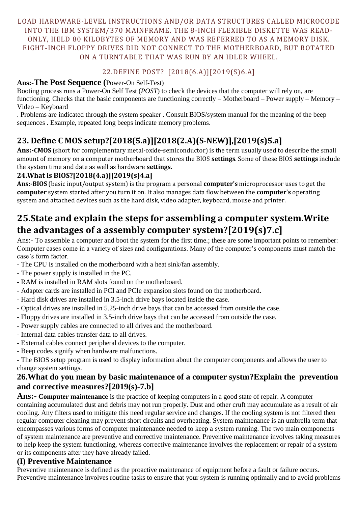#### LOAD HARDWARE-LEVEL INSTRUCTIONS AND/OR DATA STRUCTURES CALLED MICROCODE INTO THE IBM SYSTEM/370 MAINFRAME. THE 8-INCH FLEXIBLE DISKETTE WAS READ-ONLY, HELD 80 KILOBYTES OF MEMORY AND WAS REFERRED TO AS A MEMORY DISK. EIGHT-INCH FLOPPY DRIVES DID NOT CONNECT TO THE MOTHERBOARD, BUT ROTATED ON A TURNTABLE THAT WAS RUN BY AN IDLER WHEEL.

# 22.DEFINE POST? [2018(6.A)][2019(S)6.A]

# **Ans:-The Post Sequence (**Power-On Self-Test)

Booting process runs a Power-On Self Test (*POST*) to check the devices that the computer will rely on, are functioning. Checks that the basic components are functioning correctly – Motherboard – Power supply – Memory – Video – Keyboard

. Problems are indicated through the system speaker . Consult BIOS/system manual for the meaning of the beep sequences . Example, repeated long beeps indicate memory problems.

# **23. Define C MOS setup?[2018(5.a)][2018(2.A)(S-NEW)],[2019(s)5.a]**

**Ans:-CMOS** (short for complementary metal-oxide-semiconductor) is the term usually used to describe the small amount of memory on a computer motherboard that stores the BIOS **settings**. Some of these BIOS **settings** include the system time and date as well as hardware **settings.**

## **24.What is BIOS?[2018(4.a)][2019(s)4.a]**

**Ans:-BIOS** (basic input/output system) is the program a personal **computer's** microprocessor uses to get the **computer** system started after you turn it on. It also manages data flow between the **computer's** operating system and attached devices such as the hard disk, video adapter, keyboard, mouse and printer.

# **25.State and explain the steps for assembling a computer system.Write the advantages of a assembly computer system?[2019(s)7.c]**

Ans:- To assemble a computer and boot the system for the first time.; these are some important points to remember: Computer cases come in a variety of sizes and configurations. Many of the computer's components must match the case's form factor.

- The CPU is installed on the motherboard with a heat sink/fan assembly.
- The power supply is installed in the PC.
- RAM is installed in RAM slots found on the motherboard.
- Adapter cards are installed in PCI and PCIe expansion slots found on the motherboard.
- Hard disk drives are installed in 3.5-inch drive bays located inside the case.
- Optical drives are installed in 5.25-inch drive bays that can be accessed from outside the case.
- Floppy drives are installed in 3.5-inch drive bays that can be accessed from outside the case.
- Power supply cables are connected to all drives and the motherboard.
- Internal data cables transfer data to all drives.
- External cables connect peripheral devices to the computer.
- Beep codes signify when hardware malfunctions.

- The BIOS setup program is used to display information about the computer components and allows the user to change system settings.

# **26.What do you mean by basic maintenance of a computer systm?Explain the prevention and corrective measures?[2019(s)-7.b]**

**Ans:- Computer maintenance** is the practice of keeping computers in a good state of repair. A computer containing accumulated dust and debris may not run properly. Dust and other cruft may accumulate as a result of air cooling. Any filters used to mitigate this need regular service and changes. If the cooling system is not filtered then regular computer cleaning may prevent short circuits and overheating. System maintenance is an umbrella term that encompasses various forms of computer maintenance needed to keep a system running. The two main components of system maintenance are preventive and corrective maintenance. Preventive maintenance involves taking measures to help keep the system functioning, whereas corrective maintenance involves the replacement or repair of a system or its components after they have already failed.

# **(I) Preventive Maintenance**

Preventive maintenance is defined as the proactive maintenance of equipment before a fault or failure occurs. Preventive maintenance involves routine tasks to ensure that your system is running optimally and to avoid problems